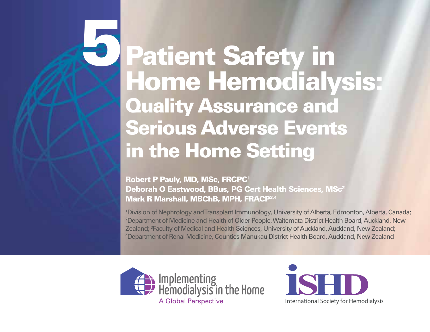# Patient Safety in Home Hemodialysis: Quality Assurance and Serious Adverse Events in the Home Setting

Robert P Pauly, MD, MSc, FRCPC1 Deborah O Eastwood, BBus, PG Cert Health Sciences, MSc<sup>2</sup> Mark R Marshall, MBChB, MPH, FRACP3,4

1 Division of Nephrology and Transplant Immunology, University of Alberta, Edmonton, Alberta, Canada; <sup>2</sup>Department of Medicine and Health of Older People, Waitemata District Health Board, Auckland, New Zealand; <sup>3</sup>Faculty of Medical and Health Sciences, University of Auckland, Auckland, New Zealand; 4 Department of Renal Medicine, Counties Manukau District Health Board, Auckland, New Zealand



5

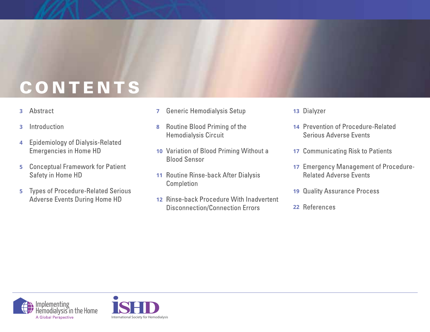# **CONTENTS**

Patient Safety Safety

Abstract **3**

2

- Introduction **3**
- **Epidemiology of Dialysis-Related 4 Emergencies in Home HD**
- **Conceptual Framework for Patient 5** Safety in Home HD
- **Types of Procedure-Related Serious 5 Adverse Events During Home HD**
- **Generic Hemodialysis Setup 7**
- **Routine Blood Priming of the 8 Hemodialysis Circuit**
- **10** Variation of Blood Priming Without a **Blood Sensor**
- **11 Routine Rinse-back After Dialysis** Completion
- **12 Rinse-back Procedure With Inadvertent Disconnection/Connection Errors**
- **13**
- 14 Prevention of Procedure-Related **Serious Adverse Events**
- **17 Communicating Risk to Patients**
- **17 Emergency Management of Procedure-Related Adverse Events**
- **19 Quality Assurance Process**
- 22 References



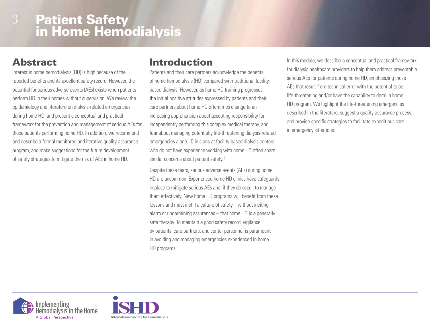### Abstract

3

Interest in home hemodialysis (HD) is high because of the reported benefits and its excellent safety record. However, the potential for serious adverse events (AEs) exists when patients perform HD in their homes without supervision. We review the epidemiology and literature on dialysis-related emergencies during home HD, and present a conceptual and practical framework for the prevention and management of serious AEs for those patients performing home HD. In addition, we recommend and describe a formal monitored and iterative quality assurance program, and make suggestions for the future development of safety strategies to mitigate the risk of AEs in home HD.

### Introduction

Patients and their care partners acknowledge the benefits of home hemodialysis (HD) compared with traditional facilitybased dialysis. However, as home HD training progresses, the initial positive attitudes expressed by patients and their care partners about home HD oftentimes change to an increasing apprehension about accepting responsibility for independently performing this complex medical therapy, and fear about managing potentially life-threatening dialysis-related emergencies alone.<sup>1</sup> Clinicians at facility-based dialysis centers who do not have experience working with home HD often share similar concerns about patient safety.<sup>2</sup>

Despite these fears, serious adverse events (AEs) during home HD are uncommon. Experienced home HD clinics have safeguards in place to mitigate serious AEs and, if they do occur, to manage them effectively. New home HD programs will benefit from these lessons and must instill a culture of safety – without inciting alarm or undermining assurances – that home HD is a generally safe therapy. To maintain a good safety record, vigilance by patients, care partners, and center personnel is paramount in avoiding and managing emergencies experienced in home HD programs.<sup>3</sup>

In this module, we describe a conceptual and practical framework for dialysis healthcare providers to help them address preventable serious AEs for patients during home HD, emphasizing those AEs that result from technical error with the potential to be life-threatening and/or have the capability to derail a home HD program. We highlight the life-threatening emergencies described in the literature, suggest a quality assurance process, and provide specific strategies to facilitate expeditious care in emergency situations.



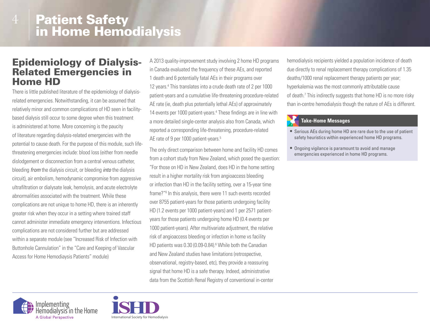### Epidemiology of Dialysis-Related Emergencies in Home HD

There is little published literature of the epidemiology of dialysisrelated emergencies. Notwithstanding, it can be assumed that relatively minor and common complications of HD seen in facilitybased dialysis still occur to some degree when this treatment is administered at home. More concerning is the paucity of literature regarding dialysis-related emergencies with the potential to cause death. For the purpose of this module, such lifethreatening emergencies include: blood loss (either from needle dislodgement or disconnection from a central venous catheter, bleeding *from* the dialysis circuit, or bleeding *into* the dialysis circuit), air embolism, hemodynamic compromise from aggressive ultrafiltration or dialysate leak, hemolysis, and acute electrolyte abnormalities associated with the treatment. While these complications are not unique to home HD, there is an inherently greater risk when they occur in a setting where trained staff cannot administer immediate emergency interventions. Infectious complications are not considered further but are addressed within a separate module (see "Increased Risk of Infection with Buttonhole Cannulation" in the "Care and Keeping of Vascular Access for Home Hemodiaysis Patients" module)

A 2013 quality-improvement study involving 2 home HD programs in Canada evaluated the frequency of these AEs, and reported 1 death and 6 potentially fatal AEs in their programs over 12 years.4 This translates into a crude death rate of 2 per 1000 patient-years and a cumulative life-threatening procedure-related AE rate (ie, death plus potentially lethal AEs) of approximately 14 events per 1000 patient-years.<sup>4</sup> These findings are in line with a more detailed single-center analysis also from Canada, which reported a corresponding life-threatening, procedure-related AE rate of 9 per 1000 patient-years.<sup>5</sup>

The only direct comparison between home and facility HD comes from a cohort study from New Zealand, which posed the question: "For those on HD in New Zealand, does HD in the home setting result in a higher mortality risk from angioaccess bleeding or infection than HD in the facility setting, over a 15-year time frame?"6 In this analysis, there were 11 such events recorded over 8755 patient-years for those patients undergoing facility HD (1.2 events per 1000 patient-years) and 1 per 2571 patientyears for those patients undergoing home HD (0.4 events per 1000 patient-years). After multivariate adjustment, the relative risk of angioaccess bleeding or infection in home vs facility HD patients was 0.30 (0.09-0.84).<sup>6</sup> While both the Canadian and New Zealand studies have limitations (retrospective, observational, registry-based, etc), they provide a reassuring signal that home HD is a safe therapy. Indeed, administrative data from the Scottish Renal Registry of conventional in-center

hemodialysis recipients yielded a population incidence of death due directly to renal replacement therapy complications of 1.35 deaths/1000 renal replacement therapy patients per year; hyperkalemia was the most commonly attributable cause of death.7 This indirectly suggests that home HD is no more risky than in-centre hemodialysis though the nature of AEs is different.

#### **Take-Home Messages**

- Serious AEs during home HD are rare due to the use of patient safety heuristics within experienced home HD programs.
- Ongoing vigilance is paramount to avoid and manage emergencies experienced in home HD programs.



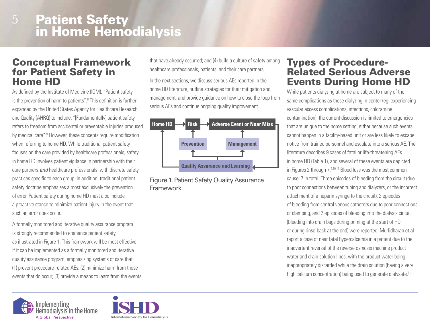### Conceptual Framework for Patient Safety in Home HD

5

As defined by the Institute of Medicine (IOM), "Patient safety is the prevention of harm to patients".<sup>8</sup> This definition is further expanded by the United States Agency for Healthcare Research and Quality (AHRQ) to include, "[Fundamentally] patient safety refers to freedom from accidental or preventable injuries produced by medical care".<sup>9</sup> However, these concepts require modification when referring to home HD. While traditional patient safety focuses on the care provided by healthcare professionals, safety in home HD involves patient vigilance in partnership with their care partners *and* healthcare professionals, with discrete safety practices specific to each group. In addition, traditional patient safety doctrine emphasizes almost exclusively the prevention of error. Patient safety during home HD must also include a proactive stance to minimize patient injury in the event that such an error does occur.

A formally monitored and iterative quality assurance program is strongly recommended to enahance patient safety, as illustrated in Figure 1. This framework will be most effective if it can be implemented as a formally monitored and iterative quality assurance program, emphasizing systems of care that (1) prevent procedure-related AEs; (2) minimize harm from those events that do occur; (3) provide a means to learn from the events

mplementing<br><del>l</del>emodialysis in the Home **A Global Perspective** 



Figure 1. Patient Safety Quality Assurance Framework

that have already occurred; and (4) build a culture of safety among

**Home HD Allerty Risk Adverse Event or Near Miss** 

healthcare professionals, patients, and their care partners.

In the next sections, we discuss serious AEs reported in the home HD literature, outline strategies for their mitigation and management, and provide guidance on how to close the loop from

serious AEs and continue ongoing quality improvement.

### Types of Procedure-Related Serious Adverse Events During Home HD

While patients dialyzing at home are subject to many of the same complications as those dialyzing in-center (eg, experiencing vascular access complications, infections, chloramine contamination), the current discussion is limited to emergencies that are unique to the home setting, either because such events cannot happen in a facility-based unit or are less likely to escape notice from trained personnel and escalate into a serious AE. The literature describes 9 cases of fatal or life-threatening AEs in home HD (Table 1), and several of these events are depicted in Figures 2 through 7.4,10,11 Blood loss was the most common cause: 7 in total. Three episodes of bleeding from the circuit (due to poor connections between tubing and dialyzers, or the incorrect attachment of a heparin syringe to the circuit), 2 episodes of bleeding from central venous catheters due to poor connections or clamping, and 2 episodes of bleeding into the dialysis circuit (bleeding into drain bags during priming at the start of HD or during rinse-back at the end) were reported. Murlidharan et al report a case of near fatal hypercalcemia in a patient due to the inadvertent reversal of the reverse osmosis machine product water and drain solution lines, with the product water being inappropriately discarded while the drain solution (having a very high calcium concentration) being used to generate dialysate.<sup>11</sup>

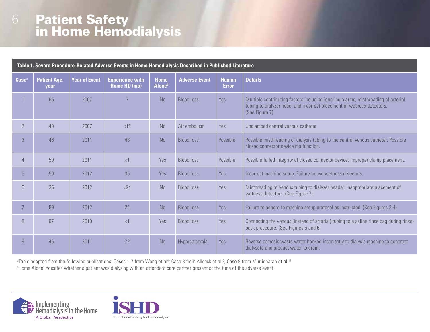| Table 1. Severe Procedure-Related Adverse Events in Home Hemodialysis Described in Published Literature |                             |                      |                                        |                                          |                      |                              |                                                                                                                                                                               |
|---------------------------------------------------------------------------------------------------------|-----------------------------|----------------------|----------------------------------------|------------------------------------------|----------------------|------------------------------|-------------------------------------------------------------------------------------------------------------------------------------------------------------------------------|
| <b>Case</b> <sup>a</sup>                                                                                | <b>Patient Age,</b><br>year | <b>Year of Event</b> | <b>Experience with</b><br>Home HD (mo) | <b>Home</b><br><b>Alone</b> <sup>b</sup> | <b>Adverse Event</b> | <b>Human</b><br><b>Error</b> | <b>Details</b>                                                                                                                                                                |
|                                                                                                         | 65                          | 2007                 |                                        | <b>No</b>                                | <b>Blood loss</b>    | Yes                          | Multiple contributing factors including ignoring alarms, misthreading of arterial<br>tubing to dialyzer head, and incorrect placement of wetness detectors.<br>(See Figure 7) |
| $\overline{2}$                                                                                          | 40                          | 2007                 | <12                                    | <b>No</b>                                | Air embolism         | Yes                          | Unclamped central venous catheter                                                                                                                                             |
| 3                                                                                                       | 46                          | 2011                 | 48                                     | <b>No</b>                                | <b>Blood loss</b>    | Possible                     | Possible misthreading of dialysis tubing to the central venous catheter. Possible<br>closed connector device malfunction.                                                     |
| 4                                                                                                       | 59                          | 2011                 | $\leq$ 1                               | Yes                                      | <b>Blood loss</b>    | Possible                     | Possible failed integrity of closed connector device. Improper clamp placement.                                                                                               |
| 5                                                                                                       | 50                          | 2012                 | 35                                     | Yes                                      | <b>Blood loss</b>    | Yes                          | Incorrect machine setup. Failure to use wetness detectors.                                                                                                                    |
| 6                                                                                                       | 35                          | 2012                 | < 24                                   | <b>No</b>                                | <b>Blood loss</b>    | Yes                          | Misthreading of venous tubing to dialyzer header. Inappropriate placement of<br>wetness detectors. (See Figure 7)                                                             |
|                                                                                                         | 59                          | 2012                 | 24                                     | <b>No</b>                                | <b>Blood loss</b>    | Yes                          | Failure to adhere to machine setup protocol as instructed. (See Figures 2-4)                                                                                                  |
| 8                                                                                                       | 67                          | 2010                 | $\leq$ 1                               | Yes                                      | Blood loss           | Yes                          | Connecting the venous (instead of arterial) tubing to a saline rinse bag during rinse-<br>back procedure. (See Figures 5 and 6)                                               |
| 9                                                                                                       | 46                          | 2011                 | 72                                     | <b>No</b>                                | Hypercalcemia        | Yes                          | Reverse osmosis waste water hooked incorrectly to dialysis machine to generate<br>dialysate and product water to drain.                                                       |

<sup>a</sup>Table adapted from the following publications: Cases 1-7 from Wong et al<sup>4</sup>; Case 8 from Allcock et al<sup>10</sup>; Case 9 from Murlidharan et al.<sup>11</sup> b Home Alone indicates whether a patient was dialyzing with an attendant care partner present at the time of the adverse event.



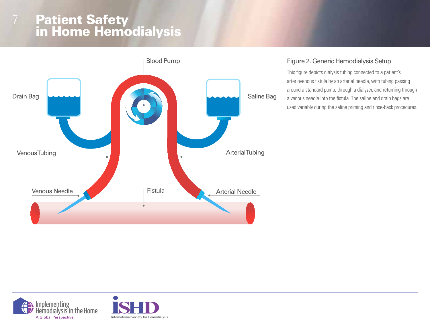

#### Figure 2. Generic Hemodialysis Setup

This figure depicts dialysis tubing connected to a patient's arteriovenous fistula by an arterial needle, with tubing passing around a standard pump, through a dialyzer, and returning through a venous needle into the fistula. The saline and drain bags are used variably during the saline priming and rinse-back procedures.



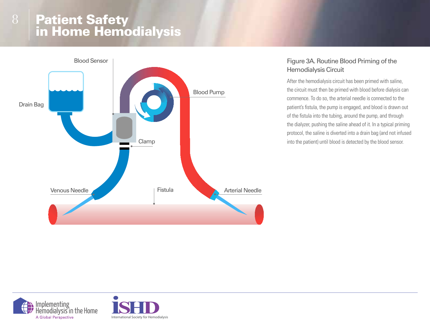8



#### Figure 3A. Routine Blood Priming of the Hemodialysis Circuit

After the hemodialysis circuit has been primed with saline, the circuit must then be primed with blood before dialysis can commence. To do so, the arterial needle is connected to the patient's fistula, the pump is engaged, and blood is drawn out of the fistula into the tubing, around the pump, and through the dialyzer, pushing the saline ahead of it. In a typical priming protocol, the saline is diverted into a drain bag (and not infused

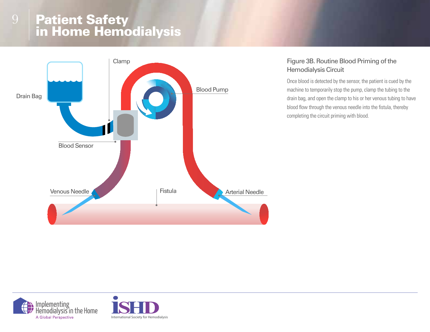9



#### Figure 3B. Routine Blood Priming of the Hemodialysis Circuit

Once blood is detected by the sensor, the patient is cued by the machine to temporarily stop the pump, clamp the tubing to the drain bag, and open the clamp to his or her venous tubing to have blood flow through the venous needle into the fistula, thereby completing the circuit priming with blood.



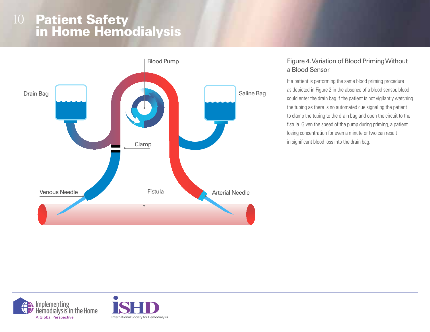

#### Figure 4. Variation of Blood Priming Without a Blood Sensor

If a patient is performing the same blood priming procedure as depicted in Figure 2 in the absence of a blood sensor, blood could enter the drain bag if the patient is not vigilantly watching the tubing as there is no automated cue signaling the patient to clamp the tubing to the drain bag and open the circuit to the fistula. Given the speed of the pump during priming, a patient losing concentration for even a minute or two can result in significant blood loss into the drain bag.

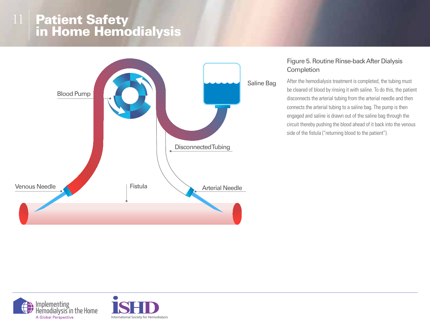

#### Figure 5. Routine Rinse-back After Dialysis Completion

After the hemodialysis treatment is completed, the tubing must be cleared of blood by rinsing it with saline. To do this, the patient disconnects the arterial tubing from the arterial needle and then connects the arterial tubing to a saline bag. The pump is then engaged and saline is drawn out of the saline bag through the circuit thereby pushing the blood ahead of it back into the venous side of the fistula ("returning blood to the patient").

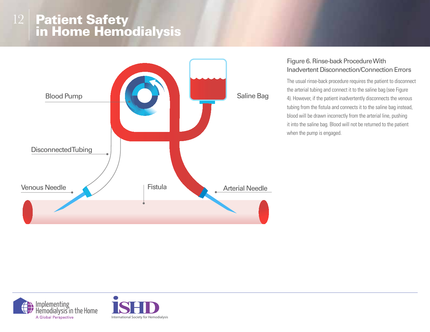

#### Figure 6. Rinse-back Procedure With Inadvertent Disconnection/Connection Errors

The usual rinse-back procedure requires the patient to disconnect the arterial tubing and connect it to the saline bag (see Figure 4). However, if the patient inadvertently disconnects the venous tubing from the fistula and connects it to the saline bag instead, blood will be drawn incorrectly from the arterial line, pushing it into the saline bag. Blood will not be returned to the patient when the pump is engaged.

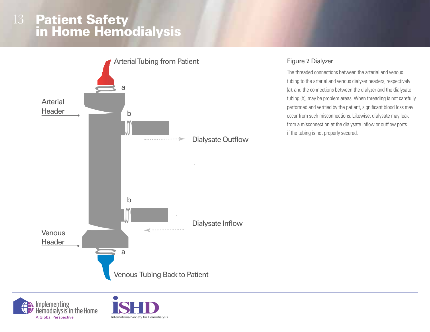

International Society for Hemodialysis

#### Figure 7. Dialyzer

The threaded connections between the arterial and venous tubing to the arterial and venous dialyzer headers, respectively (a), and the connections between the dialyzer and the dialysate tubing (b), may be problem areas. When threading is not carefully performed and verified by the patient, significant blood loss may occur from such misconnections. Likewise, dialysate may leak from a misconnection at the dialysate inflow or outflow ports if the tubing is not properly secured.

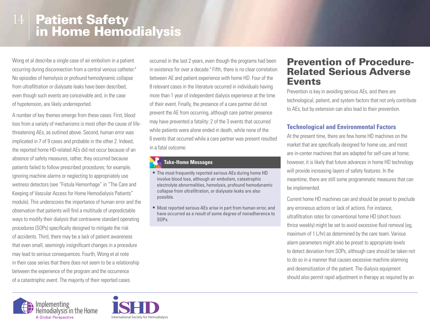Wong et al describe a single case of air embolism in a patient occurring during disconnection from a central venous catheter.4 No episodes of hemolysis or profound hemodynamic collapse from ultrafiltration or dialysate leaks have been described, even though such events are conceivable and, in the case of hypotension, are likely underreported.

A number of key themes emerge from these cases. First, blood loss from a variety of mechanisms is most often the cause of lifethreatening AEs, as outlined above. Second, human error was implicated in 7 of 9 cases and probable in the other 2. Indeed, the reported home HD-related AEs did not occur because of an absence of safety measures, rather, they occurred because patients failed to follow prescribed procedures; for example, ignoring machine alarms or neglecting to appropriately use wetness detectors (see "Fistula Hemorrhage" in "The Care and Keeping of Vascular Access for Home Hemodialysis Patients" module). This underscores the importance of human error and the observation that patients will find a multitude of unpredictable ways to modify their dialysis that contravene standard operating procedures (SOPs) specifically designed to mitigate the risk of accidents. Third, there may be a lack of patient awareness that even small, seemingly insignificant changes in a procedure may lead to serious consequences. Fourth, Wong et al note in their case series that there does not seem to be a relationship between the experience of the program and the occurrence of a catastrophic event. The majority of their reported cases

occurred in the last 2 years, even though the programs had been in existence for over a decade.<sup>4</sup> Fifth, there is no clear correlation between AE and patient experience with home HD. Four of the 8 relevant cases in the literature occurred in individuals having more than 1 year of independent dialysis experience at the time of their event. Finally, the presence of a care partner did not prevent the AE from occurring, although care partner presence may have prevented a fatality: 2 of the 3 events that occurred while patients were alone ended in death, while none of the 6 events that occurred while a care partner was present resulted in a fatal outcome.

#### **Take-Home Messages**

- The most frequently reported serious AEs during home HD involve blood loss, although air embolism, catastrophic electrolyte abnormalities, hemolysis, profound hemodynamic collapse from ultrafiltration, or dialysate leaks are also possible.
- Most reported serious AEs arise in part from human error, and have occurred as a result of some degree of nonadherence to SOPs.

### Prevention of Procedure-Related Serious Adverse Events

Prevention is key in avoiding serious AEs, and there are technological, patient, and system factors that not only contribute to AEs, but by extension can also lead to their prevention.

#### **Technological and Environmental Factors**

At the present time, there are few home HD machines on the market that are specifically designed for home use, and most are in-center machines that are adapted for self-care at home; however, it is likely that future advances in home HD technology will provide increasing layers of safety features. In the meantime, there are still some programmatic measures that can be implemented.

Current home HD machines can and should be preset to preclude any erroneous actions or lack of actions. For instance, ultrafiltration rates for conventional home HD (short hours thrice weekly) might be set to avoid excessive fluid removal (eg, maximum of 1 L/hr) as determined by the care team. Various alarm parameters might also be preset to appropriate levels to detect deviation from SOPs, although care should be taken not to do so in a manner that causes excessive machine alarming and desensitization of the patient. The dialysis equipment should also permit rapid adjustment in therapy as required by an



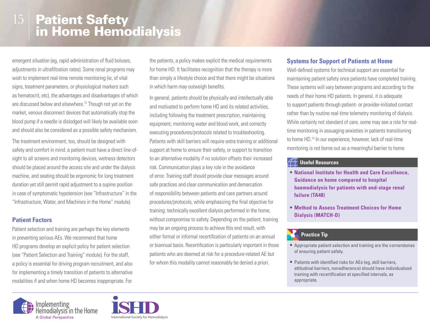emergent situation (eg, rapid administration of fluid boluses, adjustments in ultrafiltration rates). Some renal programs may wish to implement real-time remote monitoring (ie, of vital signs, treatment parameters, or physiological markers such as hematocrit, etc), the advantages and disadvantages of which are discussed below and elsewhere.<sup>12</sup> Though not yet on the market, venous disconnect devices that automatically stop the blood pump if a needle is dislodged will likely be available soon and should also be considered as a possible safety mechanism.

The treatment environment, too, should be designed with safety and comfort in mind: a patient must have a direct line-ofsight to all screens and monitoring devices, wetness detectors should be placed around the access site and under the dialysis machine, and seating should be ergonomic for long treatment duration yet still permit rapid adjustment to a supine position in case of symptomatic hypotension (see "Infrastructure" in the "Infrastructure, Water, and Machines in the Home" module).

#### **Patient Factors**

Patient selection and training are perhaps the key elements in preventing serious AEs. We recommend that home HD programs develop an explicit policy for patient selection (see "Patient Selection and Training" module). For the staff, a policy is essential for driving program recruitment, and also for implementing a timely transition of patients to alternative modalities if and when home HD becomes inappropriate. For

the patients, a policy makes explicit the medical requirements for home HD. It facilitates recognition that the therapy is more than simply a lifestyle choice and that there might be situations in which harm may outweigh benefits.

In general, patients should be physically and intellectually able and motivated to perform home HD and its related activities, including following the treatment prescription, maintaining equipment, monitoring water and blood work, and correctly executing procedures/protocols related to troubleshooting. Patients with skill barriers will require extra training or additional support at home to ensure their safety, or support to transition to an alternative modality if no solution offsets their increased risk. Communication plays a key role in the avoidance of error. Training staff should provide clear messages around safe practices and clear communication and demarcation of responsibility between patients and care partners around procedures/protocols, while emphasizing the final objective for training: technically excellent dialysis performed in the home, without compromise to safety. Depending on the patient, training may be an ongoing process to achieve this end result, with either formal or informal recertification of patients on an annual or biannual basis. Recertification is particularly important in those patients who are deemed at risk for a procedure-related AE but for whom this modality cannot reasonably be denied a priori.

#### **Systems for Support of Patients at Home**

Well-defined systems for technical support are essential for maintaining patient safety once patients have completed training. These systems will vary between programs and according to the needs of their home HD patients. In general, it is adequate to support patients through patient- or provider-initiated contact rather than by routine real-time telemetry monitoring of dialysis. While certainly not standard of care, some may see a role for realtime monitoring in assuaging anxieties in patients transitioning to home HD.13 In our experience, however, lack of real-time monitoring is not borne out as a meaningful barrier to home

#### **Useful Resources**

- **National Institute for Health and Care Excellence, Guidance on home compared to hospital haemodialysis for patients with end-stage renal failure (TA48)**
- **Method to Assess Treatment Choices for Home Dialysis (MATCH-D)**

#### **Practice Tip**

- Appropriate patient selection and training are the cornerstones of ensuring patient safety.
- Patients with identified risks for AEs (eg, skill barriers, attitudinal barriers, nonadherence) should have individualized training with recertification at specified intervals, as appropriate.



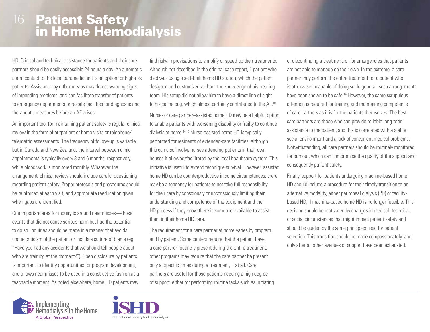HD. Clinical and technical assistance for patients and their care partners should be easily accessible 24 hours a day. An automatic alarm contact to the local paramedic unit is an option for high-risk patients. Assistance by either means may detect warning signs of impending problems, and can facilitate transfer of patients to emergency departments or respite facilities for diagnostic and therapeutic measures before an AE arises.

An important tool for maintaining patient safety is regular clinical review in the form of outpatient or home visits or telephone/ telemetric assessments. The frequency of follow-up is variable, but in Canada and New Zealand, the interval between clinic appointments is typically every 3 and 6 months, respectively, while blood work is monitored monthly. Whatever the arrangement, clinical review should include careful questioning regarding patient safety. Proper protocols and procedures should be reinforced at each visit, and appropriate reeducation given when gaps are identified.

One important area for inquiry is around near misses—those events that did not cause serious harm but had the potential to do so. Inquiries should be made in a manner that avoids undue criticism of the patient or instills a culture of blame (eg, "Have you had any accidents that we should tell people about who are training at the moment?"). Open disclosure by patients is important to identify opportunities for program development, and allows near misses to be used in a constructive fashion as a teachable moment. As noted elsewhere, home HD patients may

find risky improvisations to simplify or speed up their treatments. Although not described in the original case report, 1 patient who died was using a self-built home HD station, which the patient designed and customized without the knowledge of his treating team. His setup did not allow him to have a direct line of sight to his saline bag, which almost certainly contributed to the AE.10

Nurse- or care partner–assisted home HD may be a helpful option to enable patients with worsening disability or frailty to continue dialysis at home.14,15 Nurse-assisted home HD is typically performed for residents of extended-care facilities, although this can also involve nurses attending patients in their own houses if allowed/facilitated by the local healthcare system. This initiative is useful to extend technique survival. However, assisted home HD can be counterproductive in some circumstances: there may be a tendency for patients to not take full responsibility for their care by consciously or unconsciously limiting their understanding and competence of the equipment and the HD process if they know there is someone available to assist them in their home HD care.

The requirement for a care partner at home varies by program and by patient. Some centers require that the patient have a care partner routinely present during the entire treatment; other programs may require that the care partner be present only at specific times during a treatment, if at all. Care partners are useful for those patients needing a high degree of support, either for performing routine tasks such as initiating or discontinuing a treatment, or for emergencies that patients are not able to manage on their own. In the extreme, a care partner may perform the entire treatment for a patient who is otherwise incapable of doing so. In general, such arrangements have been shown to be safe.<sup>14</sup> However, the same scrupulous attention is required for training and maintaining competence of care partners as it is for the patients themselves. The best care partners are those who can provide reliable long-term assistance to the patient, and this is correlated with a stable social environment and a lack of concurrent medical problems. Notwithstanding, all care partners should be routinely monitored for burnout, which can compromise the quality of the support and consequently patient safety.

Finally, support for patients undergoing machine-based home HD should include a procedure for their timely transition to an alternative modality, either peritoneal dialysis (PD) or facilitybased HD, if machine-based home HD is no longer feasible. This decision should be motivated by changes in medical, technical, or social circumstances that might impact patient safety and should be guided by the same principles used for patient selection. This transition should be made compassionately, and only after all other avenues of support have been exhausted.



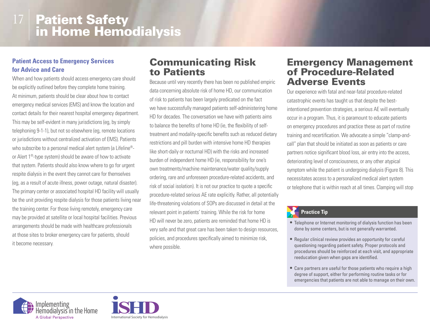#### **Patient Access to Emergency Services for Advice and Care**

When and how patients should access emergency care should be explicitly outlined before they complete home training. At minimum, patients should be clear about how to contact emergency medical services (EMS) and know the location and contact details for their nearest hospital emergency department. This may be self-evident in many jurisdictions (eg, by simply telephoning 9-1-1), but not so elsewhere (eg, remote locations or jurisdictions without centralized activation of EMS). Patients who subscribe to a personal medical alert system (a Lifeline®or Alert 1®-type system) should be aware of how to activate that system. Patients should also know where to go for urgent respite dialysis in the event they cannot care for themselves (eg, as a result of acute illness, power outage, natural disaster). The primary center or associated hospital HD facility will usually be the unit providing respite dialysis for those patients living near the training center. For those living remotely, emergency care may be provided at satellite or local hospital facilities. Previous arrangements should be made with healthcare professionals at those sites to broker emergency care for patients, should it become necessary.

### Communicating Risk to Patients

Because until very recently there has been no published empiric data concerning absolute risk of home HD, our communication of risk to patients has been largely predicated on the fact we have successfully managed patients self-administering home HD for decades. The conversation we have with patients aims to balance the benefits of home HD (ie, the flexibility of selftreatment and modality-specific benefits such as reduced dietary restrictions and pill burden with intensive home HD therapies like short-daily or nocturnal HD) with the risks and increased burden of independent home HD (ie, responsibility for one's own treatments/machine maintenance/water quality/supply ordering, rare and unforeseen procedure-related accidents, and risk of social isolation). It is not our practice to quote a specific procedure-related serious AE rate explicitly. Rather, all potentially life-threatening violations of SOPs are discussed in detail at the relevant point in patients' training. While the risk for home HD will never be zero, patients are reminded that home HD is very safe and that great care has been taken to design resources, policies, and procedures specifically aimed to minimize risk, where possible.

### Emergency Management of Procedure-Related Adverse Events

Our experience with fatal and near-fatal procedure-related catastrophic events has taught us that despite the bestintentioned prevention strategies, a serious AE will eventually occur in a program. Thus, it is paramount to educate patients on emergency procedures and practice these as part of routine training and recertification. We advocate a simple "clamp-andcall" plan that should be initiated as soon as patients or care partners notice significant blood loss, air entry into the access, deteriorating level of consciousness, or any other atypical symptom while the patient is undergoing dialysis (Figure 8). This necessitates access to a personalized medical alert system or telephone that is within reach at all times. Clamping will stop

### **Practice Tip**

- Telephone or Internet monitoring of dialysis function has been done by some centers, but is not generally warranted.
- Regular clinical review provides an opportunity for careful questioning regarding patient safety. Proper protocols and procedures should be reinforced at each visit, and appropriate reeducation given when gaps are identified.
- Care partners are useful for those patients who require a high degree of support, either for performing routine tasks or for emergencies that patients are not able to manage on their own.



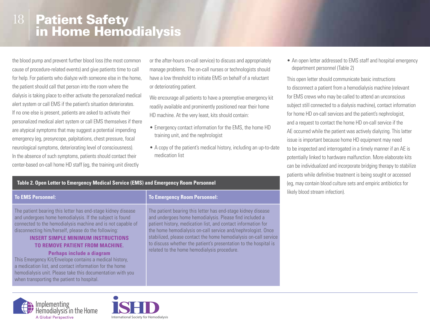the blood pump and prevent further blood loss (the most common cause of procedure-related events) and give patients time to call for help. For patients who dialyze with someone else in the home, the patient should call that person into the room where the dialysis is taking place to either activate the personalized medical alert system or call EMS if the patient's situation deteriorates. If no one else is present, patients are asked to activate their personalized medical alert system or call EMS themselves if there are atypical symptoms that may suggest a potential impending emergency (eg, presyncope, palpitations, chest pressure, focal neurological symptoms, deteriorating level of consciousness). In the absence of such symptoms, patients should contact their center-based on-call home HD staff (eg, the training unit directly

or the after-hours on-call service) to discuss and appropriately manage problems. The on-call nurses or technologists should have a low threshold to initiate EMS on behalf of a reluctant or deteriorating patient.

We encourage all patients to have a preemptive emergency kit readily available and prominently positioned near their home HD machine. At the very least, kits should contain:

- Emergency contact information for the EMS, the home HD training unit, and the nephrologist
- A copy of the patient's medical history, including an up-to-date medication list

• An open letter addressed to EMS staff and hospital emergency department personnel (Table 2)

This open letter should communicate basic instructions to disconnect a patient from a hemodialysis machine (relevant for EMS crews who may be called to attend an unconscious subject still connected to a dialysis machine), contact information for home HD on-call services and the patient's nephrologist, and a request to contact the home HD on-call service if the AE occurred while the patient was actively dialyzing. This latter issue is important because home HD equipment may need to be inspected and interrogated in a timely manner if an AE is potentially linked to hardware malfunction. More elaborate kits can be individualized and incorporate bridging therapy to stabilize patients while definitive treatment is being sought or accessed (eg, may contain blood culture sets and empiric antibiotics for likely blood stream infection).

#### **Table 2. Open Letter to Emergency Medical Service (EMS) and Emergency Room Personnel**

The patient bearing this letter has end-stage kidney disease and undergoes home hemodialysis. If the subject is found connected to the hemodialysis machine and is not capable of disconnecting him/herself, please do the following:

#### **INSERT SIMPLE MINIMUM INSTRUCTIONS TO REMOVE PATIENT FROM MACHINE. Perhaps include a diagram**

This Emergency Kit/Envelope contains a medical history, a medication list, and contact information for the home hemodialysis unit. Please take this documentation with you when transporting the patient to hospital.

#### **To EMS Personnel: To Emergency Room Personnel:**

The patient bearing this letter has end-stage kidney disease and undergoes home hemodialysis. Please find included a patient history, medication list, and contact information for the home hemodialysis on-call service and/nephrologist. Once stabilized, please contact the home hemodialysis on-call service to discuss whether the patient's presentation to the hospital is related to the home hemodialysis procedure.



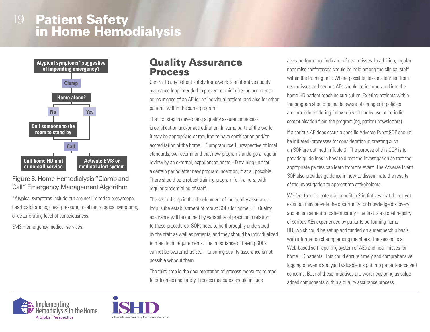

#### Figure 8. Home Hemodialysis "Clamp and Call" Emergency Management Algorithm

\*Atypical symptoms include but are not limited to presyncope, heart palpitations, chest pressure, focal neurological symptoms, or deteriorating level of consciousness.

EMS = emergency medical services.

### Quality Assurance Process

Central to any patient safety framework is an iterative quality assurance loop intended to prevent or minimize the occurrence or recurrence of an AE for an individual patient, and also for other patients within the same program.

The first step in developing a quality assurance process is certification and/or accreditation. In some parts of the world, it may be appropriate or required to have certification and/or accreditation of the home HD program itself. Irrespective of local standards, we recommend that new programs undergo a regular review by an external, experienced home HD training unit for a certain period after new program inception, if at all possible. There should be a robust training program for trainers, with regular credentialing of staff.

The second step in the development of the quality assurance loop is the establishment of robust SOPs for home HD. Quality assurance will be defined by variability of practice in relation to these procedures. SOPs need to be thoroughly understood by the staff as well as patients, and they should be individualized to meet local requirements. The importance of having SOPs cannot be overemphasized—ensuring quality assurance is not possible without them.

The third step is the documentation of process measures related to outcomes and safety. Process measures should include

a key performance indicator of near misses. In addition, regular near-miss conferences should be held among the clinical staff within the training unit. Where possible, lessons learned from near misses and serious AEs should be incorporated into the home HD patient teaching curriculum. Existing patients within the program should be made aware of changes in policies and procedures during follow-up visits or by use of periodic communication from the program (eg, patient newsletters).

If a serious AE does occur, a specific Adverse Event SOP should be initiated (processes for consideration in creating such an SOP are outlined in Table 3). The purpose of this SOP is to provide guidelines in how to direct the investigation so that the appropriate parties can learn from the event. The Adverse Event SOP also provides guidance in how to disseminate the results of the investigation to appropriate stakeholders.

We feel there is potential benefit in 2 initiatives that do not yet exist but may provide the opportunity for knowledge discovery and enhancement of patient safety. The first is a global registry of serious AEs experienced by patients performing home HD, which could be set up and funded on a membership basis with information sharing among members. The second is a Web-based self-reporting system of AEs and near misses for home HD patients. This could ensure timely and comprehensive logging of events and yield valuable insight into patient-perceived concerns. Both of these initiatives are worth exploring as valueadded components within a quality assurance process.



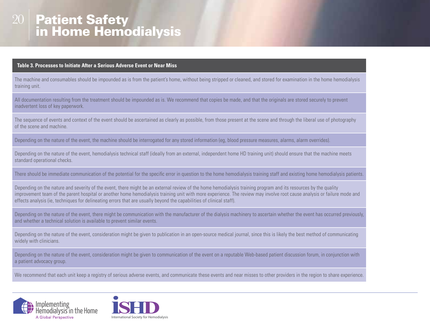**Table 3. Processes to Initiate After a Serious Adverse Event or Near Miss**

The machine and consumables should be impounded as is from the patient's home, without being stripped or cleaned, and stored for examination in the home hemodialysis training unit.

All documentation resulting from the treatment should be impounded as is. We recommend that copies be made, and that the originals are stored securely to prevent inadvertent loss of key paperwork.

The sequence of events and context of the event should be ascertained as clearly as possible, from those present at the scene and through the liberal use of photography of the scene and machine.

Depending on the nature of the event, the machine should be interrogated for any stored information (eg, blood pressure measures, alarms, alarm overrides).

Depending on the nature of the event, hemodialysis technical staff (ideally from an external, independent home HD training unit) should ensure that the machine meets standard operational checks.

There should be immediate communication of the potential for the specific error in question to the home hemodialysis training staff and existing home hemodialysis patients.

Depending on the nature and severity of the event, there might be an external review of the home hemodialysis training program and its resources by the quality improvement team of the parent hospital or another home hemodialysis training unit with more experience. The review may involve root cause analysis or failure mode and effects analysis (ie, techniques for delineating errors that are usually beyond the capabilities of clinical staff).

Depending on the nature of the event, there might be communication with the manufacturer of the dialysis machinery to ascertain whether the event has occurred previously, and whether a technical solution is available to prevent similar events.

Depending on the nature of the event, consideration might be given to publication in an open-source medical journal, since this is likely the best method of communicating widely with clinicians.

Depending on the nature of the event, consideration might be given to communication of the event on a reputable Web-based patient discussion forum, in conjunction with a patient advocacy group.

We recommend that each unit keep a registry of serious adverse events, and communicate these events and near misses to other providers in the region to share experience.